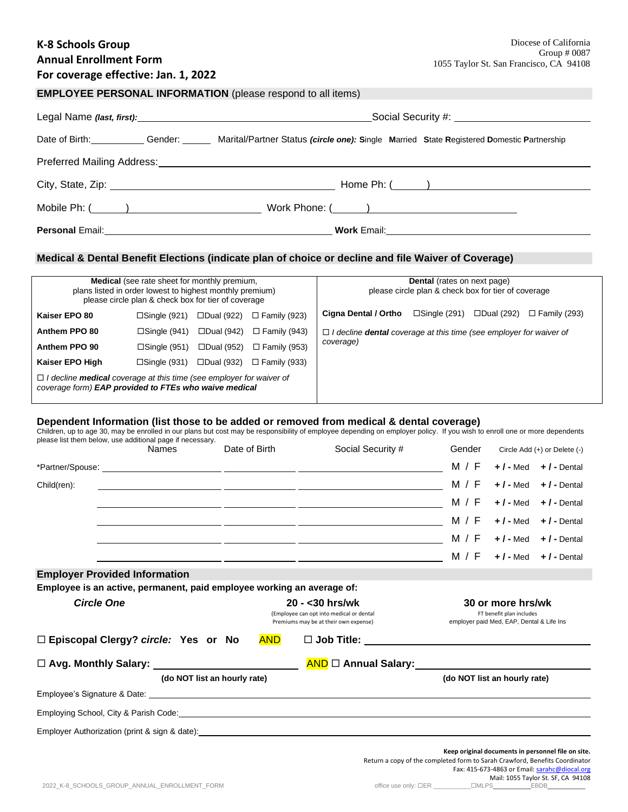## **K-8 Schools Group Annual Enrollment Form**

# **For coverage effective: Jan. 1, 2022**

|  |  | <b>EMPLOYEE PERSONAL INFORMATION</b> (please respond to all items) |  |
|--|--|--------------------------------------------------------------------|--|
|  |  |                                                                    |  |

|                                                         |  | Date of Birth: Gender: Gender: Marital/Partner Status (circle one): Single Married State Registered Domestic Partnership |  |  |
|---------------------------------------------------------|--|--------------------------------------------------------------------------------------------------------------------------|--|--|
|                                                         |  |                                                                                                                          |  |  |
|                                                         |  |                                                                                                                          |  |  |
| Mobile Ph: (______)                 Work Phone: (_____) |  |                                                                                                                          |  |  |
|                                                         |  |                                                                                                                          |  |  |

### **Medical & Dental Benefit Elections (indicate plan of choice or decline and file Waiver of Coverage)**

| <b>Medical</b> (see rate sheet for monthly premium,<br>plans listed in order lowest to highest monthly premium)<br>please circle plan & check box for tier of coverage |                        |                   |                     | <b>Dental</b> (rates on next page)<br>please circle plan & check box for tier of coverage     |                        |                   |                     |
|------------------------------------------------------------------------------------------------------------------------------------------------------------------------|------------------------|-------------------|---------------------|-----------------------------------------------------------------------------------------------|------------------------|-------------------|---------------------|
| Kaiser EPO 80                                                                                                                                                          | $\square$ Single (921) | □Dual (922)       | $\Box$ Family (923) | Cigna Dental / Ortho                                                                          | $\square$ Single (291) | $\Box$ Dual (292) | $\Box$ Family (293) |
| Anthem PPO 80                                                                                                                                                          | $\square$ Single (941) | $\Box$ Dual (942) | $\Box$ Family (943) | $\Box$ I decline <b>dental</b> coverage at this time (see employer for waiver of<br>coverage) |                        |                   |                     |
| Anthem PPO 90                                                                                                                                                          | $\square$ Single (951) | $\Box$ Dual (952) | $\Box$ Family (953) |                                                                                               |                        |                   |                     |
| Kaiser EPO High                                                                                                                                                        | $\square$ Single (931) | □Dual (932)       | $\Box$ Family (933) |                                                                                               |                        |                   |                     |
| $\Box$ I decline <b>medical</b> coverage at this time (see employer for waiver of<br>coverage form) EAP provided to FTEs who waive medical                             |                        |                   |                     |                                                                                               |                        |                   |                     |

#### **Dependent Information (list those to be added or removed from medical & dental coverage)**

Children, up to age 30, may be enrolled in our plans but cost may be responsibility of employee depending on employer policy. If you wish to enroll one or more dependents

| please list them below, use additional page if necessary.              | <b>Names</b> | Date of Birth                                                                                                                                                                                       | Social Security #                                                                                                                                                                                                              | Gender                                                                      | Circle Add (+) or Delete (-)                                                                        |                       |
|------------------------------------------------------------------------|--------------|-----------------------------------------------------------------------------------------------------------------------------------------------------------------------------------------------------|--------------------------------------------------------------------------------------------------------------------------------------------------------------------------------------------------------------------------------|-----------------------------------------------------------------------------|-----------------------------------------------------------------------------------------------------|-----------------------|
|                                                                        |              |                                                                                                                                                                                                     |                                                                                                                                                                                                                                | M / F                                                                       | $+$ / - Med                                                                                         | $+$ / - Dental        |
| Child(ren):                                                            |              |                                                                                                                                                                                                     | <u> 1999 - Johann John Stein, mars an deutscher Stein († 1958)</u>                                                                                                                                                             | M / F                                                                       | $+$ / - Med                                                                                         | $+$ / - Dental        |
|                                                                        |              |                                                                                                                                                                                                     |                                                                                                                                                                                                                                | M / F                                                                       | $+$ / - Med                                                                                         | $+$ / - Dental        |
|                                                                        |              |                                                                                                                                                                                                     |                                                                                                                                                                                                                                | M / F                                                                       | $+$ / - Med                                                                                         | $+$ / - Dental        |
|                                                                        |              |                                                                                                                                                                                                     |                                                                                                                                                                                                                                | M / F                                                                       | $+$ / - Med                                                                                         | $+$ / - Dental        |
|                                                                        |              |                                                                                                                                                                                                     |                                                                                                                                                                                                                                | M / F                                                                       | $+$ / - Med                                                                                         | $+$ $\prime$ - Dental |
| <b>Employer Provided Information</b>                                   |              |                                                                                                                                                                                                     |                                                                                                                                                                                                                                |                                                                             |                                                                                                     |                       |
| Employee is an active, permanent, paid employee working an average of: |              |                                                                                                                                                                                                     |                                                                                                                                                                                                                                |                                                                             |                                                                                                     |                       |
| <b>Circle One</b>                                                      |              | $20 - 30$ hrs/wk<br>30 or more hrs/wk<br>FT benefit plan includes<br>(Employee can opt into medical or dental<br>Premiums may be at their own expense)<br>employer paid Med, EAP, Dental & Life Ins |                                                                                                                                                                                                                                |                                                                             |                                                                                                     |                       |
| □ Episcopal Clergy? circle: Yes or No                                  |              | <b>AND</b>                                                                                                                                                                                          |                                                                                                                                                                                                                                |                                                                             |                                                                                                     |                       |
| □ Avg. Monthly Salary: ________________________                        |              |                                                                                                                                                                                                     | AND D Annual Salary: Annual Salary:                                                                                                                                                                                            |                                                                             |                                                                                                     |                       |
| (do NOT list an hourly rate)                                           |              |                                                                                                                                                                                                     |                                                                                                                                                                                                                                |                                                                             | (do NOT list an hourly rate)                                                                        |                       |
|                                                                        |              |                                                                                                                                                                                                     |                                                                                                                                                                                                                                |                                                                             |                                                                                                     |                       |
|                                                                        |              |                                                                                                                                                                                                     | Employing School, City & Parish Code: <u>Contract Communication of the Contract Communication</u> Contract Contract Co                                                                                                         |                                                                             |                                                                                                     |                       |
|                                                                        |              |                                                                                                                                                                                                     | Employer Authorization (print & sign & date): example and all the control of the control of the control of the control of the control of the control of the control of the control of the control of the control of the contro |                                                                             |                                                                                                     |                       |
|                                                                        |              |                                                                                                                                                                                                     |                                                                                                                                                                                                                                | Return a copy of the completed form to Sarah Crawford, Benefits Coordinator | Keep original documents in personnel file on site.<br>Fax: 415-673-4863 or Email: sarahc@diocal.org |                       |